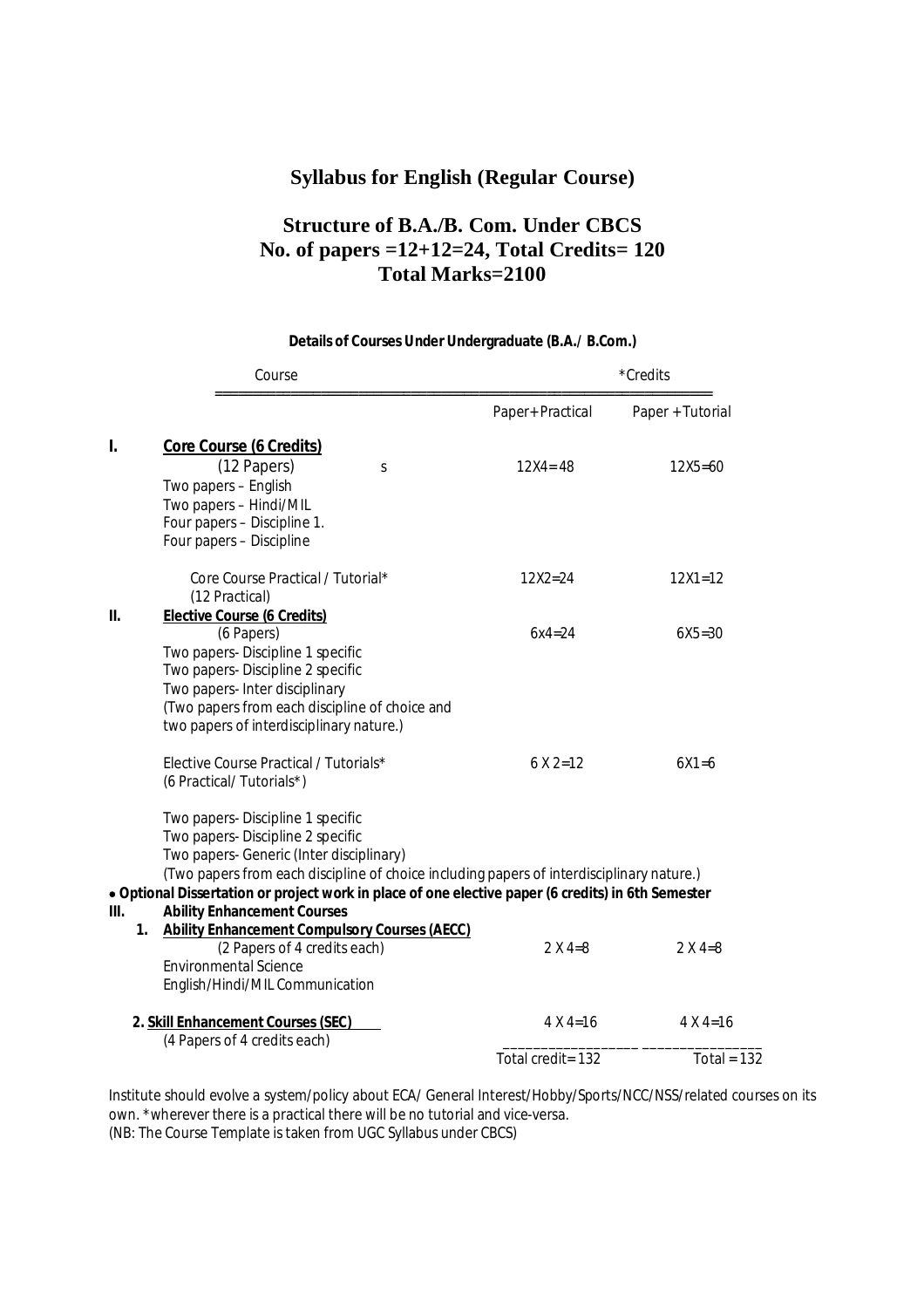#### **Syllabus for English (Regular Course)**

# **Structure of B.A./B. Com. Under CBCS No. of papers =12+12=24, Total Credits= 120 Total Marks=2100**

### Course \*Credits ================================================================== Paper+ Practical Paper + Tutorial **I. Core Course (6 Credits)** (12 Papers) s 12X4= 48 12X5=60 Two papers – English Two papers – Hindi/MIL Four papers – Discipline 1. Four papers – Discipline Core Course Practical / Tutorial\* 12X2=24 12X1=12 (12 Practical) **II. Elective Course (6 Credits)**  (6 Papers) 6x4=24 6X5=30 Two papers- Discipline 1 specific Two papers- Discipline 2 specific Two papers- Inter disciplinary (Two papers from each discipline of choice and two papers of interdisciplinary nature.) Elective Course Practical / Tutorials\* 6 X 2=12 6X1=6 (6 Practical/ Tutorials\*) Two papers- Discipline 1 specific Two papers- Discipline 2 specific Two papers- Generic (Inter disciplinary) (Two papers from each discipline of choice including papers of interdisciplinary nature.) **Optional Dissertation or project work in place of one elective paper (6 credits) in 6th Semester III. Ability Enhancement Courses 1. Ability Enhancement Compulsory Courses (AECC)**  (2 Papers of 4 credits each)  $2 \times 4=8$  2  $2 \times 4=8$ Environmental Science English/Hindi/MIL Communication **2. Skill Enhancement Courses (SEC)** 4 X 4=16 4 X 4=16 (4 Papers of 4 credits each) \_\_\_\_\_\_\_\_\_\_\_\_\_\_\_\_\_\_ \_\_\_\_\_\_\_\_\_\_\_\_\_\_\_\_ Total credit= 132 Total = 132

#### **Details of Courses Under Undergraduate (B.A./ B.Com.)**

Institute should evolve a system/policy about ECA/ General Interest/Hobby/Sports/NCC/NSS/related courses on its own. \*wherever there is a practical there will be no tutorial and vice-versa. (NB: The Course Template is taken from UGC Syllabus under CBCS)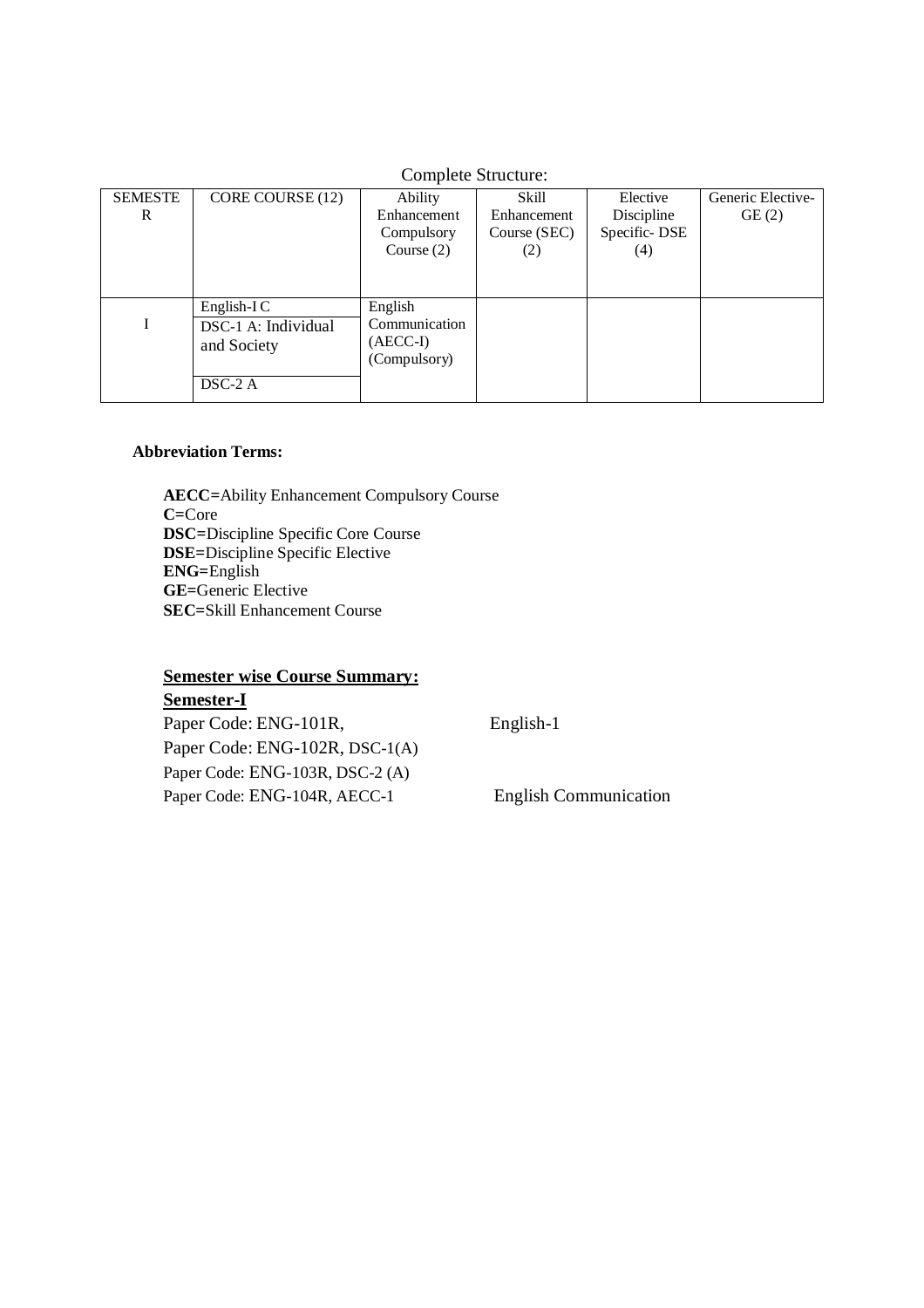| Complete Structure: |                                                                 |                                                        |                                             |                                               |                            |  |  |
|---------------------|-----------------------------------------------------------------|--------------------------------------------------------|---------------------------------------------|-----------------------------------------------|----------------------------|--|--|
| <b>SEMESTE</b><br>R | CORE COURSE (12)                                                | Ability<br>Enhancement<br>Compulsory<br>Course $(2)$   | Skill<br>Enhancement<br>Course (SEC)<br>(2) | Elective<br>Discipline<br>Specific-DSE<br>(4) | Generic Elective-<br>GE(2) |  |  |
|                     | English-I $C$<br>DSC-1 A: Individual<br>and Society<br>$DSC-2A$ | English<br>Communication<br>$(AECC-I)$<br>(Compulsory) |                                             |                                               |                            |  |  |

# Complete Structure

#### **Abbreviation Terms:**

**AECC=**Ability Enhancement Compulsory Course **C=**Core **DSC=**Discipline Specific Core Course **DSE=**Discipline Specific Elective **ENG=**English **GE=**Generic Elective **SEC=**Skill Enhancement Course

### **Semester wise Course Summary: Semester-I**

Paper Code: ENG-101R, English-1 Paper Code: ENG-102R, DSC-1(A) Paper Code: ENG-103R, DSC-2 (A) Paper Code: ENG-104R, AECC-1 English Communication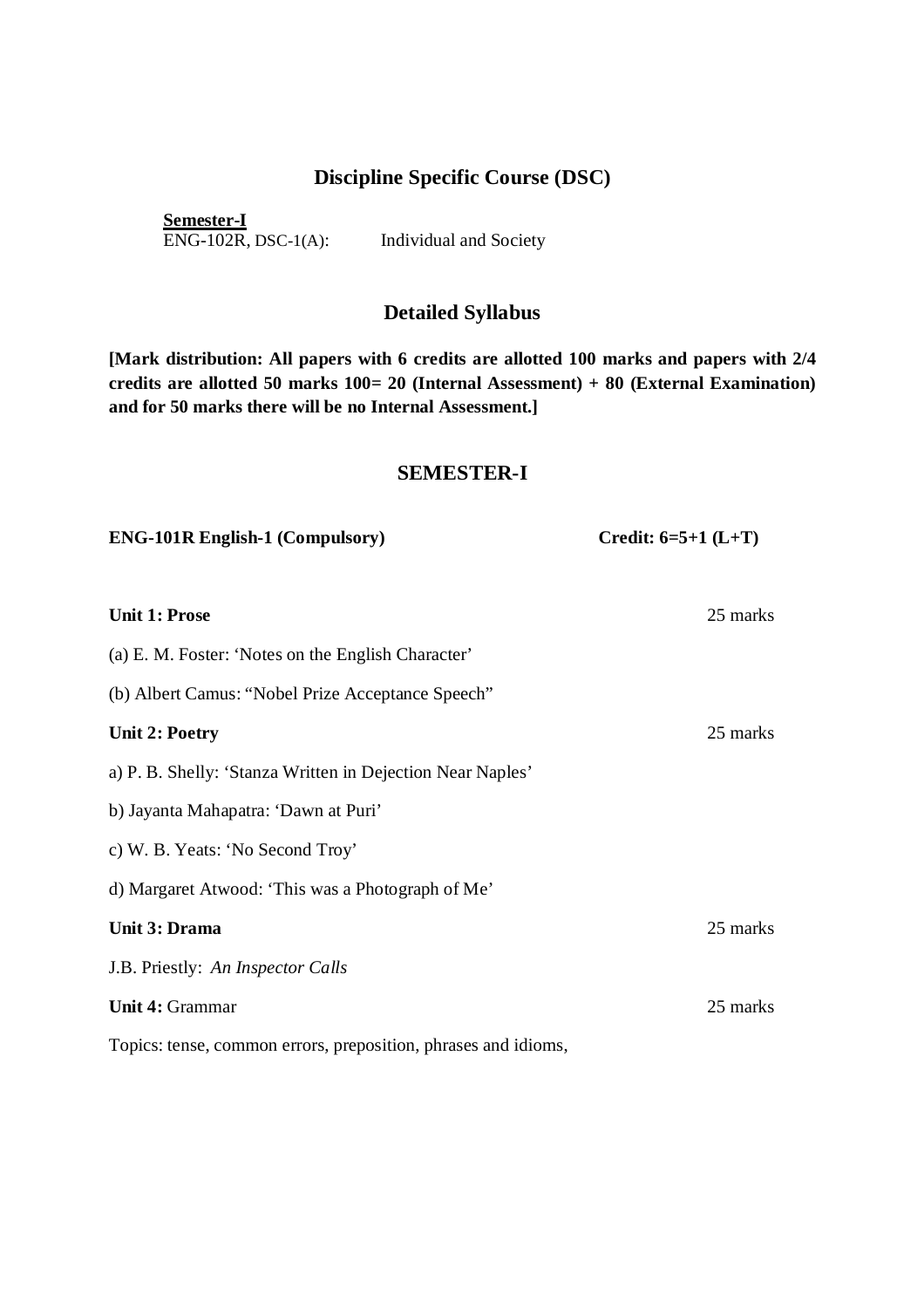## **Discipline Specific Course (DSC)**

**Semester-I**  ENG-102R, DSC-1(A): Individual and Society

# **Detailed Syllabus**

**[Mark distribution: All papers with 6 credits are allotted 100 marks and papers with 2/4 credits are allotted 50 marks 100= 20 (Internal Assessment) + 80 (External Examination) and for 50 marks there will be no Internal Assessment.]**

#### **SEMESTER-I**

| <b>ENG-101R English-1 (Compulsory)</b>                         | Credit: $6=5+1$ (L+T) |  |
|----------------------------------------------------------------|-----------------------|--|
|                                                                |                       |  |
| <b>Unit 1: Prose</b>                                           | 25 marks              |  |
| (a) E. M. Foster: 'Notes on the English Character'             |                       |  |
| (b) Albert Camus: "Nobel Prize Acceptance Speech"              |                       |  |
| <b>Unit 2: Poetry</b>                                          | 25 marks              |  |
| a) P. B. Shelly: 'Stanza Written in Dejection Near Naples'     |                       |  |
| b) Jayanta Mahapatra: 'Dawn at Puri'                           |                       |  |
| c) W. B. Yeats: 'No Second Troy'                               |                       |  |
| d) Margaret Atwood: 'This was a Photograph of Me'              |                       |  |
| Unit 3: Drama                                                  | 25 marks              |  |
| J.B. Priestly: An Inspector Calls                              |                       |  |
| <b>Unit 4: Grammar</b>                                         | 25 marks              |  |
| Topics: tense, common errors, preposition, phrases and idioms, |                       |  |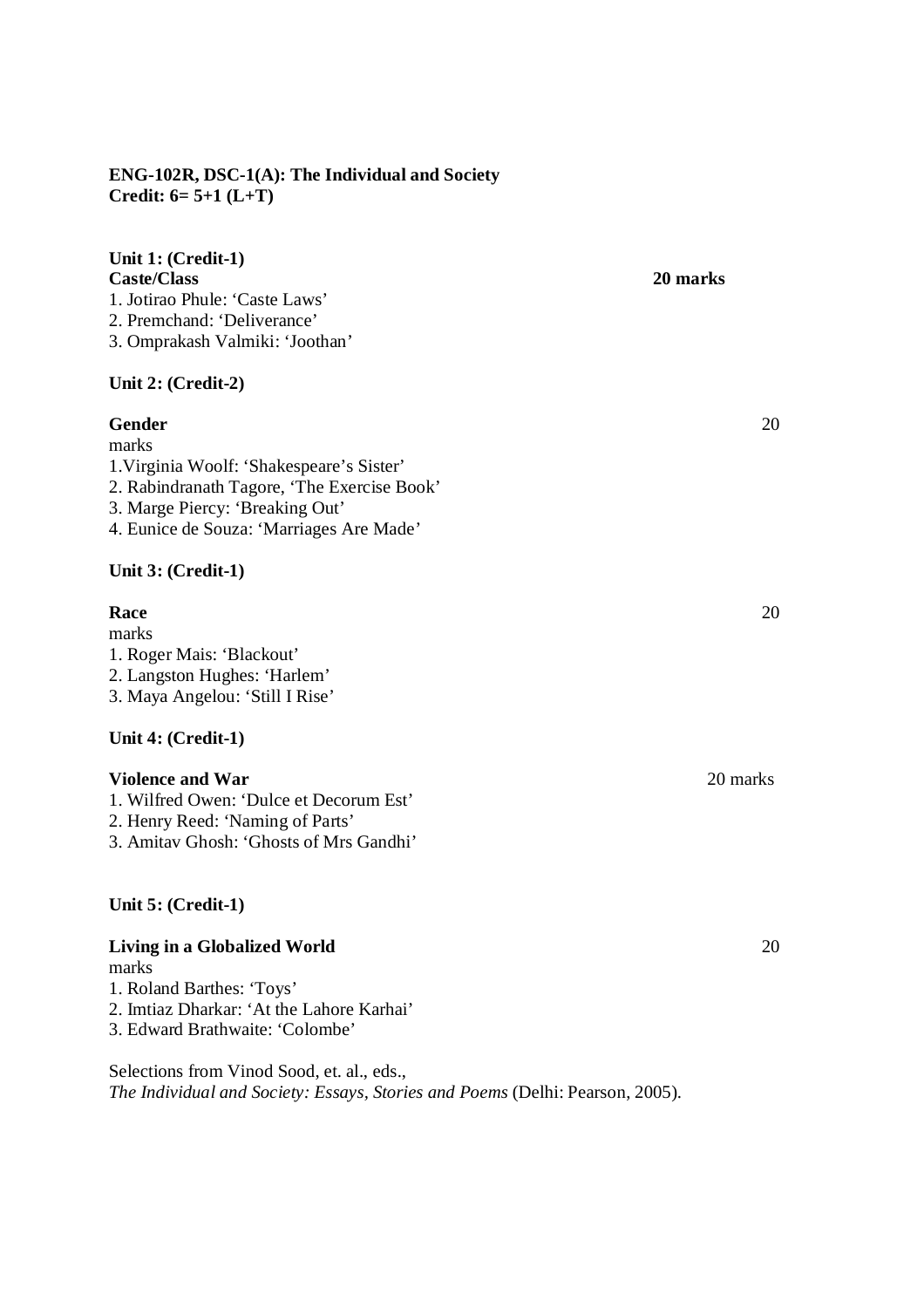### **ENG-102R, DSC-1(A): The Individual and Society Credit: 6= 5+1 (L+T)**

| Unit 1: (Credit-1)<br><b>Caste/Class</b><br>1. Jotirao Phule: 'Caste Laws'<br>2. Premchand: 'Deliverance'<br>3. Omprakash Valmiki: 'Joothan'                                               | 20 marks |
|--------------------------------------------------------------------------------------------------------------------------------------------------------------------------------------------|----------|
| Unit 2: (Credit-2)                                                                                                                                                                         |          |
| Gender<br>marks<br>1. Virginia Woolf: 'Shakespeare's Sister'<br>2. Rabindranath Tagore, 'The Exercise Book'<br>3. Marge Piercy: 'Breaking Out'<br>4. Eunice de Souza: 'Marriages Are Made' | 20       |
| Unit 3: (Credit-1)                                                                                                                                                                         |          |
| Race<br>marks<br>1. Roger Mais: 'Blackout'<br>2. Langston Hughes: 'Harlem'<br>3. Maya Angelou: 'Still I Rise'                                                                              | 20       |
| Unit 4: (Credit-1)                                                                                                                                                                         |          |
| <b>Violence and War</b><br>1. Wilfred Owen: 'Dulce et Decorum Est'<br>2. Henry Reed: 'Naming of Parts'<br>3. Amitav Ghosh: 'Ghosts of Mrs Gandhi'                                          | 20 marks |
| Unit 5: (Credit-1)                                                                                                                                                                         |          |
| Living in a Globalized World                                                                                                                                                               | 20       |

marks

- 1. Roland Barthes: 'Toys'
- 2. Imtiaz Dharkar: 'At the Lahore Karhai'

3. Edward Brathwaite: 'Colombe'

Selections from Vinod Sood, et. al., eds., *The Individual and Society: Essays, Stories and Poems* (Delhi: Pearson, 2005).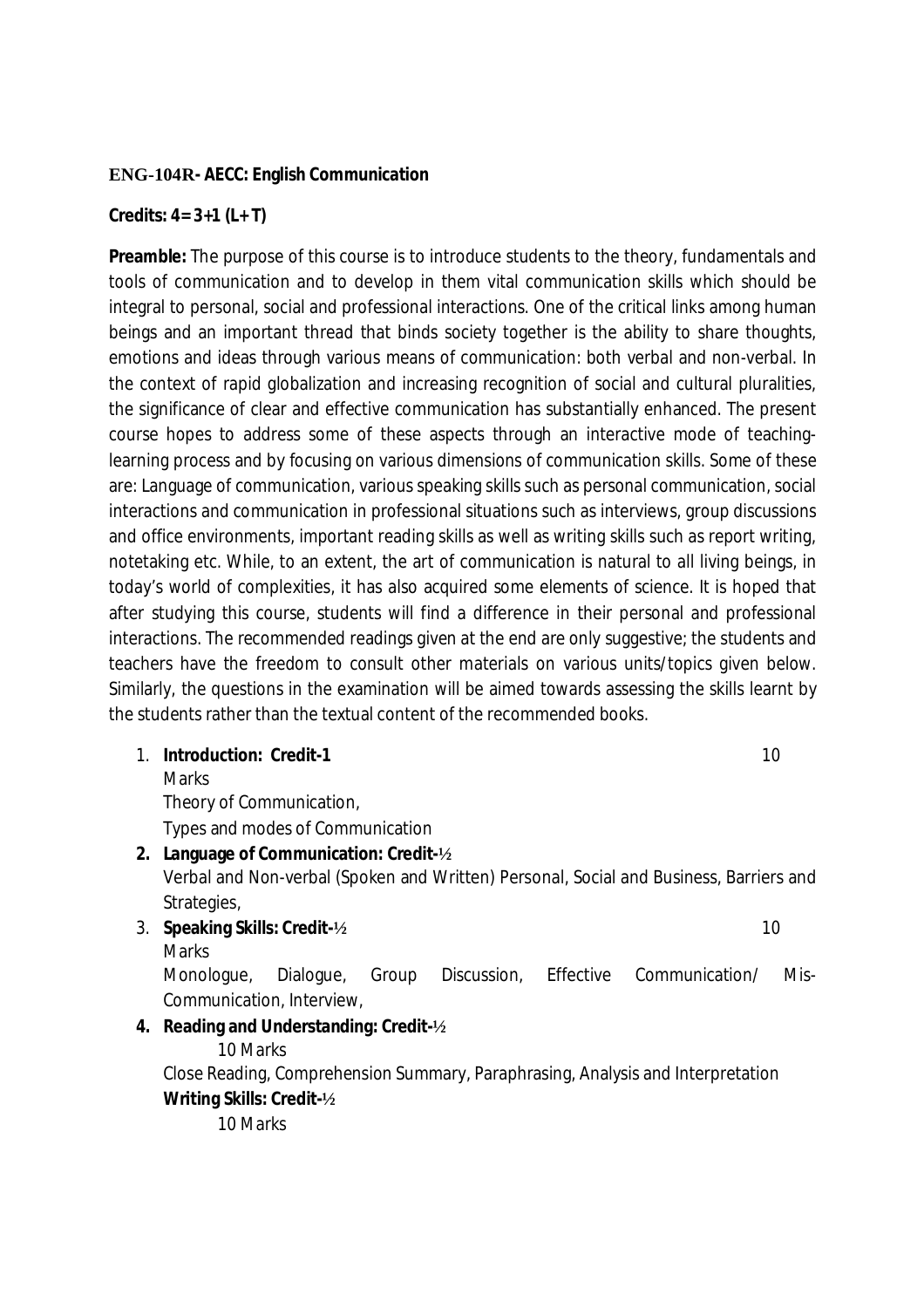### **ENG-104R- AECC: English Communication**

### **Credits: 4= 3+1 (L+ T)**

**Preamble:** The purpose of this course is to introduce students to the theory, fundamentals and tools of communication and to develop in them vital communication skills which should be integral to personal, social and professional interactions. One of the critical links among human beings and an important thread that binds society together is the ability to share thoughts, emotions and ideas through various means of communication: both verbal and non-verbal. In the context of rapid globalization and increasing recognition of social and cultural pluralities, the significance of clear and effective communication has substantially enhanced. The present course hopes to address some of these aspects through an interactive mode of teachinglearning process and by focusing on various dimensions of communication skills. Some of these are: Language of communication, various speaking skills such as personal communication, social interactions and communication in professional situations such as interviews, group discussions and office environments, important reading skills as well as writing skills such as report writing, notetaking etc. While, to an extent, the art of communication is natural to all living beings, in today's world of complexities, it has also acquired some elements of science. It is hoped that after studying this course, students will find a difference in their personal and professional interactions. The recommended readings given at the end are only suggestive; the students and teachers have the freedom to consult other materials on various units/topics given below. Similarly, the questions in the examination will be aimed towards assessing the skills learnt by the students rather than the textual content of the recommended books.

1. **Introduction: Credit-1** 10

Theory of Communication,

Types and modes of Communication

**2. Language of Communication: Credit-½**

Verbal and Non-verbal (Spoken and Written) Personal, Social and Business, Barriers and Strategies,

- 3. **Speaking Skills: Credit-½** 10
	- **Marks**

**Marks** 

Monologue, Dialogue, Group Discussion, Effective Communication/ Mis-Communication, Interview,

### **4. Reading and Understanding: Credit-½**

10 Marks

Close Reading, Comprehension Summary, Paraphrasing, Analysis and Interpretation **Writing Skills: Credit-½**

10 Marks